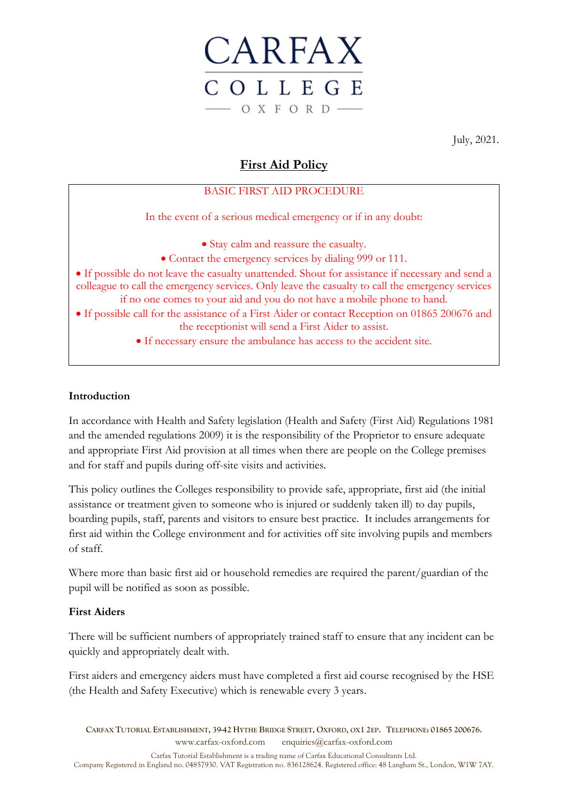

July, 2021.

# **First Aid Policy**

## BASIC FIRST AID PROCEDURE

In the event of a serious medical emergency or if in any doubt:

• Stay calm and reassure the casualty.

- Contact the emergency services by dialing 999 or 111.
- If possible do not leave the casualty unattended. Shout for assistance if necessary and send a colleague to call the emergency services. Only leave the casualty to call the emergency services if no one comes to your aid and you do not have a mobile phone to hand.
- If possible call for the assistance of a First Aider or contact Reception on 01865 200676 and the receptionist will send a First Aider to assist.
	- If necessary ensure the ambulance has access to the accident site.

#### **Introduction**

In accordance with Health and Safety legislation (Health and Safety (First Aid) Regulations 1981 and the amended regulations 2009) it is the responsibility of the Proprietor to ensure adequate and appropriate First Aid provision at all times when there are people on the College premises and for staff and pupils during off-site visits and activities.

This policy outlines the Colleges responsibility to provide safe, appropriate, first aid (the initial assistance or treatment given to someone who is injured or suddenly taken ill) to day pupils, boarding pupils, staff, parents and visitors to ensure best practice. It includes arrangements for first aid within the College environment and for activities off site involving pupils and members of staff.

Where more than basic first aid or household remedies are required the parent/guardian of the pupil will be notified as soon as possible.

## **First Aiders**

There will be sufficient numbers of appropriately trained staff to ensure that any incident can be quickly and appropriately dealt with.

First aiders and emergency aiders must have completed a first aid course recognised by the HSE (the Health and Safety Executive) which is renewable every 3 years.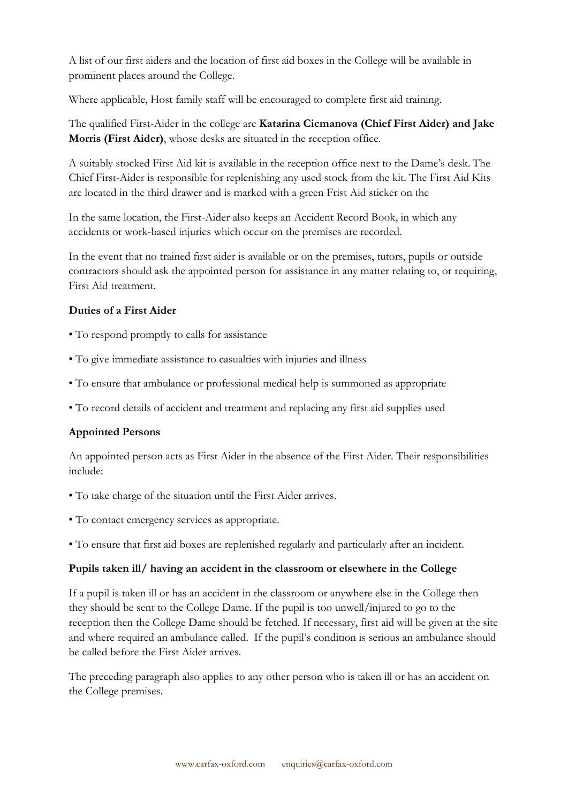A list of our first aiders and the location of first aid boxes in the College will be available in prominent places around the College.

Where applicable, Host family staff will be encouraged to complete first aid training.

The qualified First-Aider in the college are **Katarina Cicmanova (Chief First Aider) and Jake Morris (First Aider)**, whose desks are situated in the reception office.

A suitably stocked First Aid kit is available in the reception office next to the Dame's desk. The Chief First-Aider is responsible for replenishing any used stock from the kit. The First Aid Kits are located in the third drawer and is marked with a green Frist Aid sticker on the

In the same location, the First-Aider also keeps an Accident Record Book, in which any accidents or work-based injuries which occur on the premises are recorded.

In the event that no trained first aider is available or on the premises, tutors, pupils or outside contractors should ask the appointed person for assistance in any matter relating to, or requiring, First Aid treatment.

## **Duties of a First Aider**

- To respond promptly to calls for assistance
- To give immediate assistance to casualties with injuries and illness
- To ensure that ambulance or professional medical help is summoned as appropriate
- To record details of accident and treatment and replacing any first aid supplies used

## **Appointed Persons**

An appointed person acts as First Aider in the absence of the First Aider. Their responsibilities include:

- To take charge of the situation until the First Aider arrives.
- To contact emergency services as appropriate.
- To ensure that first aid boxes are replenished regularly and particularly after an incident.

#### **Pupils taken ill/ having an accident in the classroom or elsewhere in the College**

If a pupil is taken ill or has an accident in the classroom or anywhere else in the College then they should be sent to the College Dame. If the pupil is too unwell/injured to go to the reception then the College Dame should be fetched. If necessary, first aid will be given at the site and where required an ambulance called. If the pupil's condition is serious an ambulance should be called before the First Aider arrives.

The preceding paragraph also applies to any other person who is taken ill or has an accident on the College premises.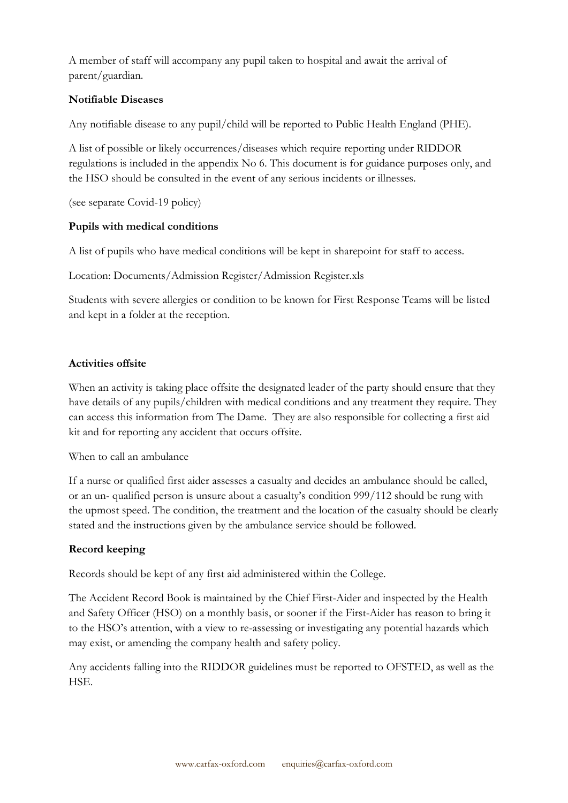A member of staff will accompany any pupil taken to hospital and await the arrival of parent/guardian.

## **Notifiable Diseases**

Any notifiable disease to any pupil/child will be reported to Public Health England (PHE).

A list of possible or likely occurrences/diseases which require reporting under RIDDOR regulations is included in the appendix No 6. This document is for guidance purposes only, and the HSO should be consulted in the event of any serious incidents or illnesses.

(see separate Covid-19 policy)

#### **Pupils with medical conditions**

A list of pupils who have medical conditions will be kept in sharepoint for staff to access.

Location: Documents/Admission Register/Admission Register.xls

Students with severe allergies or condition to be known for First Response Teams will be listed and kept in a folder at the reception.

#### **Activities offsite**

When an activity is taking place offsite the designated leader of the party should ensure that they have details of any pupils/children with medical conditions and any treatment they require. They can access this information from The Dame. They are also responsible for collecting a first aid kit and for reporting any accident that occurs offsite.

When to call an ambulance

If a nurse or qualified first aider assesses a casualty and decides an ambulance should be called, or an un- qualified person is unsure about a casualty's condition 999/112 should be rung with the upmost speed. The condition, the treatment and the location of the casualty should be clearly stated and the instructions given by the ambulance service should be followed.

## **Record keeping**

Records should be kept of any first aid administered within the College.

The Accident Record Book is maintained by the Chief First-Aider and inspected by the Health and Safety Officer (HSO) on a monthly basis, or sooner if the First-Aider has reason to bring it to the HSO's attention, with a view to re-assessing or investigating any potential hazards which may exist, or amending the company health and safety policy.

Any accidents falling into the RIDDOR guidelines must be reported to OFSTED, as well as the HSE.